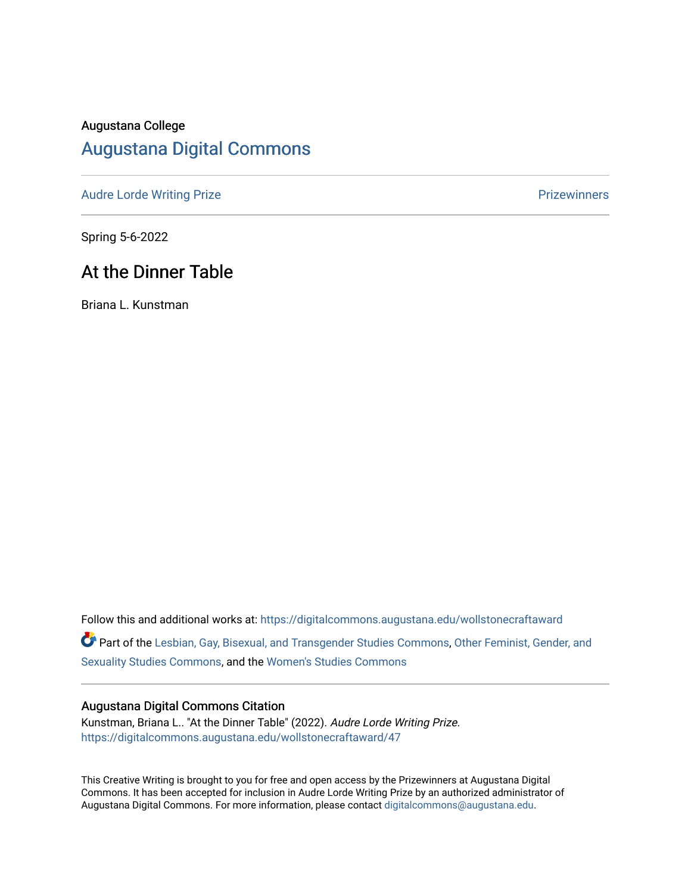# Augustana College

# [Augustana Digital Commons](https://digitalcommons.augustana.edu/)

[Audre Lorde Writing Prize](https://digitalcommons.augustana.edu/wollstonecraftaward) **Prize Audre Lorde Writing Prize** Prize Prize Prize Prize Prize Prize Prize Prize Prize

Spring 5-6-2022

# At the Dinner Table

Briana L. Kunstman

Follow this and additional works at: [https://digitalcommons.augustana.edu/wollstonecraftaward](https://digitalcommons.augustana.edu/wollstonecraftaward?utm_source=digitalcommons.augustana.edu%2Fwollstonecraftaward%2F47&utm_medium=PDF&utm_campaign=PDFCoverPages) 

Part of the [Lesbian, Gay, Bisexual, and Transgender Studies Commons](http://network.bepress.com/hgg/discipline/560?utm_source=digitalcommons.augustana.edu%2Fwollstonecraftaward%2F47&utm_medium=PDF&utm_campaign=PDFCoverPages), [Other Feminist, Gender, and](http://network.bepress.com/hgg/discipline/562?utm_source=digitalcommons.augustana.edu%2Fwollstonecraftaward%2F47&utm_medium=PDF&utm_campaign=PDFCoverPages)  [Sexuality Studies Commons](http://network.bepress.com/hgg/discipline/562?utm_source=digitalcommons.augustana.edu%2Fwollstonecraftaward%2F47&utm_medium=PDF&utm_campaign=PDFCoverPages), and the [Women's Studies Commons](http://network.bepress.com/hgg/discipline/561?utm_source=digitalcommons.augustana.edu%2Fwollstonecraftaward%2F47&utm_medium=PDF&utm_campaign=PDFCoverPages) 

#### Augustana Digital Commons Citation

Kunstman, Briana L.. "At the Dinner Table" (2022). Audre Lorde Writing Prize. [https://digitalcommons.augustana.edu/wollstonecraftaward/47](https://digitalcommons.augustana.edu/wollstonecraftaward/47?utm_source=digitalcommons.augustana.edu%2Fwollstonecraftaward%2F47&utm_medium=PDF&utm_campaign=PDFCoverPages)

This Creative Writing is brought to you for free and open access by the Prizewinners at Augustana Digital Commons. It has been accepted for inclusion in Audre Lorde Writing Prize by an authorized administrator of Augustana Digital Commons. For more information, please contact [digitalcommons@augustana.edu](mailto:digitalcommons@augustana.edu).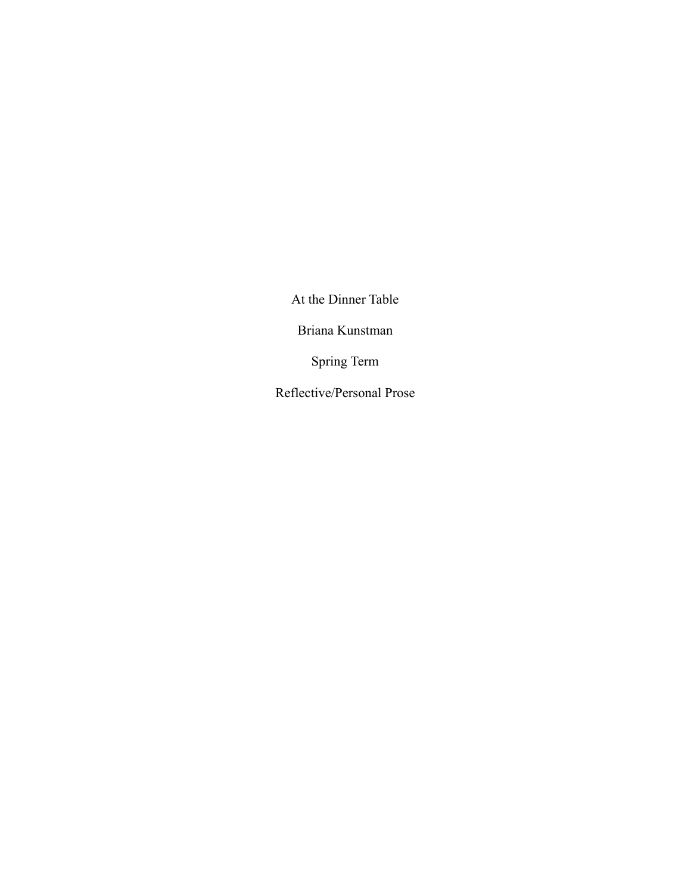At the Dinner Table

Briana Kunstman

Spring Term

Reflective/Personal Prose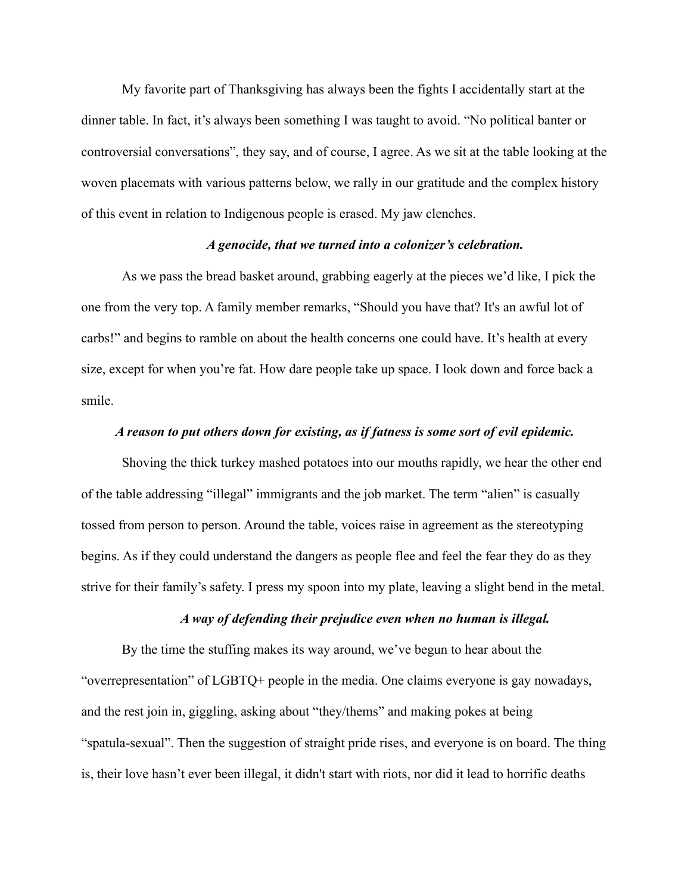My favorite part of Thanksgiving has always been the fights I accidentally start at the dinner table. In fact, it's always been something I was taught to avoid. "No political banter or controversial conversations", they say, and of course, I agree. As we sit at the table looking at the woven placemats with various patterns below, we rally in our gratitude and the complex history of this event in relation to Indigenous people is erased. My jaw clenches.

#### *A genocide, that we turned into a colonizer's celebration.*

As we pass the bread basket around, grabbing eagerly at the pieces we'd like, I pick the one from the very top. A family member remarks, "Should you have that? It's an awful lot of carbs!" and begins to ramble on about the health concerns one could have. It's health at every size, except for when you're fat. How dare people take up space. I look down and force back a smile.

#### *A reason to put others down for existing, as if fatness is some sort of evil epidemic.*

Shoving the thick turkey mashed potatoes into our mouths rapidly, we hear the other end of the table addressing "illegal" immigrants and the job market. The term "alien" is casually tossed from person to person. Around the table, voices raise in agreement as the stereotyping begins. As if they could understand the dangers as people flee and feel the fear they do as they strive for their family's safety. I press my spoon into my plate, leaving a slight bend in the metal.

## *A way of defending their prejudice even when no human is illegal.*

By the time the stuffing makes its way around, we've begun to hear about the "overrepresentation" of LGBTQ+ people in the media. One claims everyone is gay nowadays, and the rest join in, giggling, asking about "they/thems" and making pokes at being "spatula-sexual". Then the suggestion of straight pride rises, and everyone is on board. The thing is, their love hasn't ever been illegal, it didn't start with riots, nor did it lead to horrific deaths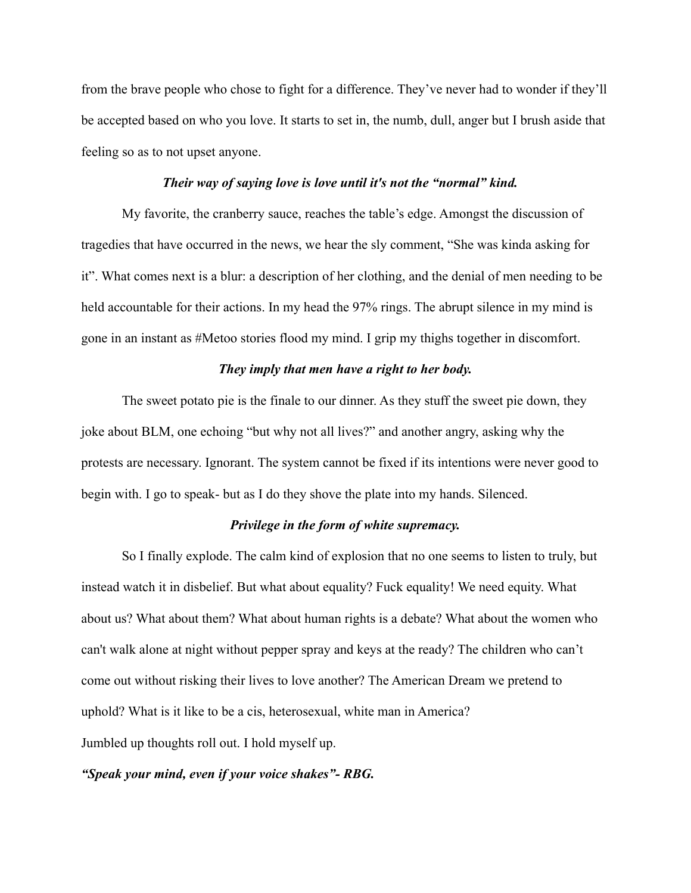from the brave people who chose to fight for a difference. They've never had to wonder if they'll be accepted based on who you love. It starts to set in, the numb, dull, anger but I brush aside that feeling so as to not upset anyone.

#### *Their way of saying love is love until it's not the "normal" kind.*

My favorite, the cranberry sauce, reaches the table's edge. Amongst the discussion of tragedies that have occurred in the news, we hear the sly comment, "She was kinda asking for it". What comes next is a blur: a description of her clothing, and the denial of men needing to be held accountable for their actions. In my head the 97% rings. The abrupt silence in my mind is gone in an instant as #Metoo stories flood my mind. I grip my thighs together in discomfort.

# *They imply that men have a right to her body.*

The sweet potato pie is the finale to our dinner. As they stuff the sweet pie down, they joke about BLM, one echoing "but why not all lives?" and another angry, asking why the protests are necessary. Ignorant. The system cannot be fixed if its intentions were never good to begin with. I go to speak- but as I do they shove the plate into my hands. Silenced.

### *Privilege in the form of white supremacy.*

So I finally explode. The calm kind of explosion that no one seems to listen to truly, but instead watch it in disbelief. But what about equality? Fuck equality! We need equity. What about us? What about them? What about human rights is a debate? What about the women who can't walk alone at night without pepper spray and keys at the ready? The children who can't come out without risking their lives to love another? The American Dream we pretend to uphold? What is it like to be a cis, heterosexual, white man in America? Jumbled up thoughts roll out. I hold myself up.

#### *"Speak your mind, even if your voice shakes"- RBG.*